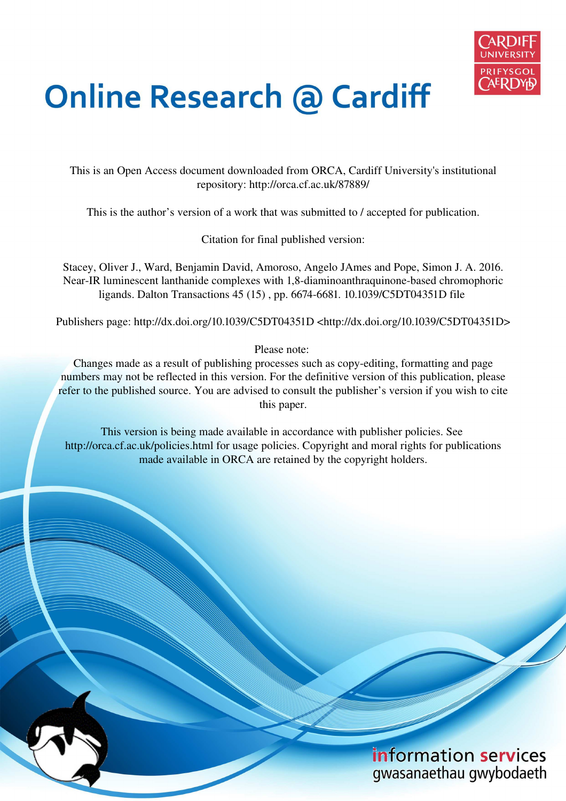

# **Online Research @ Cardiff**

This is an Open Access document downloaded from ORCA, Cardiff University's institutional repository: http://orca.cf.ac.uk/87889/

This is the author's version of a work that was submitted to / accepted for publication.

Citation for final published version:

Stacey, Oliver J., Ward, Benjamin David, Amoroso, Angelo JAmes and Pope, Simon J. A. 2016. Near-IR luminescent lanthanide complexes with 1,8-diaminoanthraquinone-based chromophoric ligands. Dalton Transactions 45 (15) , pp. 6674-6681. 10.1039/C5DT04351D file

Publishers page: http://dx.doi.org/10.1039/C5DT04351D <http://dx.doi.org/10.1039/C5DT04351D>

Please note:

Changes made as a result of publishing processes such as copy-editing, formatting and page numbers may not be reflected in this version. For the definitive version of this publication, please refer to the published source. You are advised to consult the publisher's version if you wish to cite this paper.

This version is being made available in accordance with publisher policies. See http://orca.cf.ac.uk/policies.html for usage policies. Copyright and moral rights for publications made available in ORCA are retained by the copyright holders.

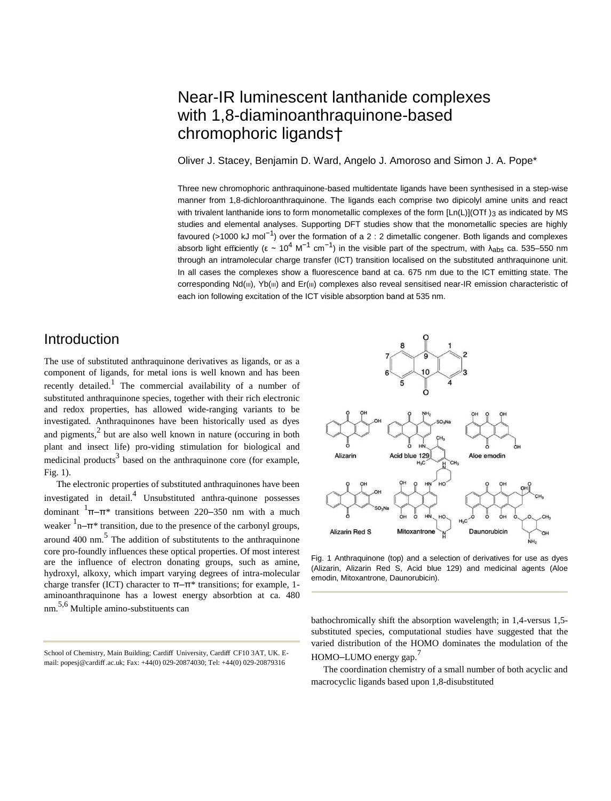## Near-IR luminescent lanthanide complexes with 1,8-diaminoanthraquinone-based chromophoric ligands†

Oliver J. Stacey, Benjamin D. Ward, Angelo J. Amoroso and Simon J. A. Pope\*

Three new chromophoric anthraquinone-based multidentate ligands have been synthesised in a step-wise manner from 1,8-dichloroanthraquinone. The ligands each comprise two dipicolyl amine units and react with trivalent lanthanide ions to form monometallic complexes of the form [Ln(L)](OTf )3 as indicated by MS studies and elemental analyses. Supporting DFT studies show that the monometallic species are highly favoured (>1000 kJ mol<sup>-1</sup>) over the formation of a 2 : 2 dimetallic congener. Both ligands and complexes absorb light efficiently (ε ~ 10<sup>4</sup> M<sup>-1</sup> cm<sup>-1</sup>) in the visible part of the spectrum, with λ<sub>abs</sub> ca. 535–550 nm through an intramolecular charge transfer (ICT) transition localised on the substituted anthraquinone unit. In all cases the complexes show a fluorescence band at ca. 675 nm due to the ICT emitting state. The corresponding Nd(III), Yb(III) and Er(III) complexes also reveal sensitised near-IR emission characteristic of each ion following excitation of the ICT visible absorption band at 535 nm.

## Introduction

The use of substituted anthraquinone derivatives as ligands, or as a component of ligands, for metal ions is well known and has been recently detailed.<sup>1</sup> The commercial availability of a number of substituted anthraquinone species, together with their rich electronic and redox properties, has allowed wide-ranging variants to be investigated. Anthraquinones have been historically used as dyes and pigments, $2$  but are also well known in nature (occuring in both plant and insect life) pro-viding stimulation for biological and medicinal products<sup>3</sup> based on the anthraquinone core (for example, Fig. 1).

The electronic properties of substituted anthraquinones have been investigated in detail.<sup>4</sup> Unsubstituted anthra-quinone possesses dominant  $1\pi-\pi^*$  transitions between 220–350 nm with a much weaker  $\frac{1}{n-\pi}$  transition, due to the presence of the carbonyl groups, around  $400 \text{ nm}$ .<sup>5</sup> The addition of substitutents to the anthraquinone core pro-foundly influences these optical properties. Of most interest are the influence of electron donating groups, such as amine, hydroxyl, alkoxy, which impart varying degrees of intra-molecular charge transfer (ICT) character to  $\pi-\pi^*$  transitions; for example, 1aminoanthraquinone has a lowest energy absorbtion at ca. 480 nm. 5,6 Multiple amino-substituents can



Fig. 1 Anthraquinone (top) and a selection of derivatives for use as dyes (Alizarin, Alizarin Red S, Acid blue 129) and medicinal agents (Aloe emodin, Mitoxantrone, Daunorubicin).

bathochromically shift the absorption wavelength; in 1,4-versus 1,5 substituted species, computational studies have suggested that the varied distribution of the HOMO dominates the modulation of the HOMO–LUMO energy gap.<sup>7</sup>

The coordination chemistry of a small number of both acyclic and macrocyclic ligands based upon 1,8-disubstituted

School of Chemistry, Main Building; Cardiff University, Cardiff CF10 3AT, UK. Email: popesj@cardiff .ac.uk; Fax: +44(0) 029-20874030; Tel: +44(0) 029-20879316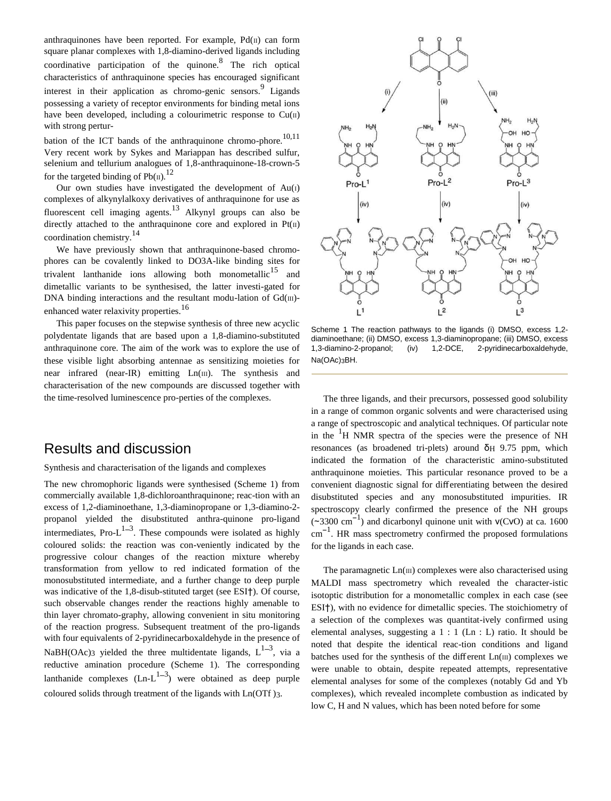anthraquinones have been reported. For example,  $Pd(\Pi)$  can form square planar complexes with 1,8-diamino-derived ligands including coordinative participation of the quinone. $8$  The rich optical characteristics of anthraquinone species has encouraged significant interest in their application as chromo-genic sensors.<sup>9</sup> Ligands possessing a variety of receptor environments for binding metal ions have been developed, including a colourimetric response to  $Cu(II)$ with strong pertur-

bation of the ICT bands of the anthraquinone chromo-phore.<sup>10,11</sup> Very recent work by Sykes and Mariappan has described sulfur, selenium and tellurium analogues of 1,8-anthraquinone-18-crown-5 for the targeted binding of  $Pb(n)$ .<sup>12</sup>

Our own studies have investigated the development of  $Au(1)$ complexes of alkynylalkoxy derivatives of anthraquinone for use as fluorescent cell imaging agents.<sup>13</sup> Alkynyl groups can also be directly attached to the anthraquinone core and explored in  $Pt(II)$ coordination chemistry.<sup>14</sup>

We have previously shown that anthraquinone-based chromophores can be covalently linked to DO3A-like binding sites for trivalent lanthanide ions allowing both monometallic<sup>15</sup> and dimetallic variants to be synthesised, the latter investi-gated for DNA binding interactions and the resultant modu-lation of  $Gd(m)$ enhanced water relaxivity properties.<sup>16</sup>

This paper focuses on the stepwise synthesis of three new acyclic polydentate ligands that are based upon a 1,8-diamino-substituted anthraquinone core. The aim of the work was to explore the use of these visible light absorbing antennae as sensitizing moieties for near infrared (near-IR) emitting Ln(III). The synthesis and characterisation of the new compounds are discussed together with the time-resolved luminescence pro-perties of the complexes.

#### Results and discussion

Synthesis and characterisation of the ligands and complexes

The new chromophoric ligands were synthesised (Scheme 1) from commercially available 1,8-dichloroanthraquinone; reac-tion with an excess of 1,2-diaminoethane, 1,3-diaminopropane or 1,3-diamino-2 propanol yielded the disubstituted anthra-quinone pro-ligand intermediates, Pro- $L^{1-3}$ . These compounds were isolated as highly coloured solids: the reaction was con-veniently indicated by the progressive colour changes of the reaction mixture whereby transformation from yellow to red indicated formation of the monosubstituted intermediate, and a further change to deep purple was indicative of the 1,8-disub-stituted target (see ESI†). Of course, such observable changes render the reactions highly amenable to thin layer chromato-graphy, allowing convenient in situ monitoring of the reaction progress. Subsequent treatment of the pro-ligands with four equivalents of 2-pyridinecarboxaldehyde in the presence of NaBH(OAc)3 yielded the three multidentate ligands,  $L^{1-3}$ , via a reductive amination procedure (Scheme 1). The corresponding lanthanide complexes  $(Ln-L^{1-3})$  were obtained as deep purple coloured solids through treatment of the ligands with Ln(OTf )3.



Scheme 1 The reaction pathways to the ligands (i) DMSO, excess 1,2 diaminoethane; (ii) DMSO, excess 1,3-diaminopropane; (iii) DMSO, excess 1,3-diamino-2-propanol; (iv) 1,2-DCE, 2-pyridinecarboxaldehyde, Na(OAc)3BH.

The three ligands, and their precursors, possessed good solubility in a range of common organic solvents and were characterised using a range of spectroscopic and analytical techniques. Of particular note in the  ${}^{1}H$  NMR spectra of the species were the presence of NH resonances (as broadened tri-plets) around  $\delta$ H 9.75 ppm, which indicated the formation of the characteristic amino-substituted anthraquinone moieties. This particular resonance proved to be a convenient diagnostic signal for differentiating between the desired disubstituted species and any monosubstituted impurities. IR spectroscopy clearly confirmed the presence of the NH groups ( $\sim$ 3300 cm<sup>-1</sup>) and dicarbonyl quinone unit with  $V(CVO)$  at ca. 1600 cm−<sup>1</sup> . HR mass spectrometry confirmed the proposed formulations for the ligands in each case.

The paramagnetic  $Ln(III)$  complexes were also characterised using MALDI mass spectrometry which revealed the character-istic isotoptic distribution for a monometallic complex in each case (see ESI†), with no evidence for dimetallic species. The stoichiometry of a selection of the complexes was quantitat-ively confirmed using elemental analyses, suggesting a 1 : 1 (Ln : L) ratio. It should be noted that despite the identical reac-tion conditions and ligand batches used for the synthesis of the different  $Ln(III)$  complexes we were unable to obtain, despite repeated attempts, representative elemental analyses for some of the complexes (notably Gd and Yb complexes), which revealed incomplete combustion as indicated by low C, H and N values, which has been noted before for some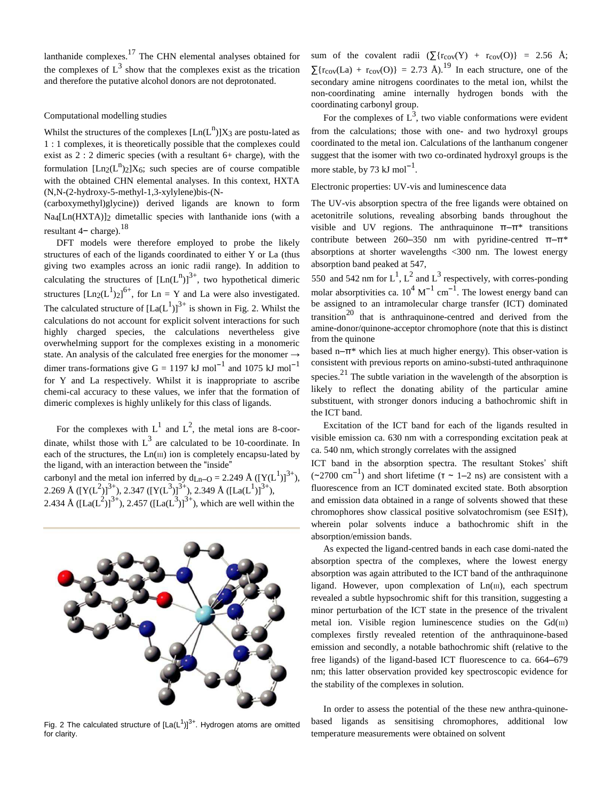lanthanide complexes.<sup>17</sup> The CHN elemental analyses obtained for the complexes of  $L^3$  show that the complexes exist as the trication and therefore the putative alcohol donors are not deprotonated.

#### Computational modelling studies

Whilst the structures of the complexes  $[Ln(L^n)]X_3$  are postu-lated as 1 : 1 complexes, it is theoretically possible that the complexes could exist as 2 : 2 dimeric species (with a resultant 6+ charge), with the formulation  $[Ln_2(L^n)_2]X_6$ ; such species are of course compatible with the obtained CHN elemental analyses. In this context, HXTA (N,N-(2-hydroxy-5-methyl-1,3-xylylene)bis-(N-

(carboxymethyl)glycine)) derived ligands are known to form Na<sub>4</sub>[Ln(HXTA)]<sub>2</sub> dimetallic species with lanthanide ions (with a resultant  $4-$  charge).<sup>18</sup>

DFT models were therefore employed to probe the likely structures of each of the ligands coordinated to either Y or La (thus giving two examples across an ionic radii range). In addition to calculating the structures of  $[Ln(L^n)]^{3+}$ , two hypothetical dimeric structures  $[Ln_2(L^1)_2]^{6+}$ , for Ln = Y and La were also investigated. The calculated structure of  $[La(L^1)]^{3+}$  is shown in Fig. 2. Whilst the calculations do not account for explicit solvent interactions for such highly charged species, the calculations nevertheless give overwhelming support for the complexes existing in a monomeric state. An analysis of the calculated free energies for the monomer  $\rightarrow$ dimer trans-formations give  $G = 1197 \text{ kJ mol}^{-1}$  and 1075 kJ mol<sup>-1</sup> for Y and La respectively. Whilst it is inappropriate to ascribe chemi-cal accuracy to these values, we infer that the formation of dimeric complexes is highly unlikely for this class of ligands.

For the complexes with  $L^1$  and  $L^2$ , the metal ions are 8-coordinate, whilst those with  $L^3$  are calculated to be 10-coordinate. In each of the structures, the Ln(III) ion is completely encapsu-lated by the ligand, with an interaction between the "inside" carbonyl and the metal ion inferred by  $d_{Ln-O} = 2.249 \text{ Å } ([Y(L^1)]^{3+})$ , 2.269 Å ([Y(L<sup>2</sup>)]<sup>3+</sup>), 2.347 ([Y(L<sup>3</sup>)]<sup>3+</sup>), 2.349 Å ([La(L<sup>1</sup>)]<sup>3+</sup>), 2.434 Å ([La(L<sup>2</sup>)]<sup>3+</sup>), 2.457 ([La(L<sup>3</sup>)]<sup>3+</sup>), which are well within the



Fig. 2 The calculated structure of  $[La(L<sup>1</sup>)]<sup>3+</sup>$ . Hydrogen atoms are omitted for clarity.

sum of the covalent radii  $(\sum {r_{\text{cov}}(Y) + r_{\text{cov}}(O)} = 2.56 \text{ Å};$  $\sum$ {r<sub>cov</sub>(La) + r<sub>cov</sub>(O)} = 2.73 Å).<sup>19</sup> In each structure, one of the secondary amine nitrogens coordinates to the metal ion, whilst the non-coordinating amine internally hydrogen bonds with the coordinating carbonyl group.

For the complexes of  $L^3$ , two viable conformations were evident from the calculations; those with one- and two hydroxyl groups coordinated to the metal ion. Calculations of the lanthanum congener suggest that the isomer with two co-ordinated hydroxyl groups is the more stable, by 73 kJ mol<sup>-1</sup>.

#### Electronic properties: UV-vis and luminescence data

The UV-vis absorption spectra of the free ligands were obtained on acetonitrile solutions, revealing absorbing bands throughout the visible and UV regions. The anthraquinone  $\pi-\pi^*$  transitions contribute between 260–350 nm with pyridine-centred  $\pi-\pi^*$ absorptions at shorter wavelengths <300 nm. The lowest energy absorption band peaked at 547,

550 and 542 nm for L<sup>1</sup>, L<sup>2</sup> and L<sup>3</sup> respectively, with corres-ponding molar absorptivities ca.  $10^4 \text{ M}^{-1} \text{ cm}^{-1}$ . The lowest energy band can be assigned to an intramolecular charge transfer (ICT) dominated transition<sup>20</sup> that is anthraquinone-centred and derived from the amine-donor/quinone-acceptor chromophore (note that this is distinct from the quinone

based n–π\* which lies at much higher energy). This obser-vation is consistent with previous reports on amino-substi-tuted anthraquinone species.<sup>21</sup> The subtle variation in the wavelength of the absorption is likely to reflect the donating ability of the particular amine substituent, with stronger donors inducing a bathochromic shift in the ICT band.

Excitation of the ICT band for each of the ligands resulted in visible emission ca. 630 nm with a corresponding excitation peak at ca. 540 nm, which strongly correlates with the assigned

ICT band in the absorption spectra. The resultant Stokes' shift (∼2700 cm−<sup>1</sup> ) and short lifetime (τ ∼ 1–2 ns) are consistent with a fluorescence from an ICT dominated excited state. Both absorption and emission data obtained in a range of solvents showed that these chromophores show classical positive solvatochromism (see ESI†), wherein polar solvents induce a bathochromic shift in the absorption/emission bands.

As expected the ligand-centred bands in each case domi-nated the absorption spectra of the complexes, where the lowest energy absorption was again attributed to the ICT band of the anthraquinone ligand. However, upon complexation of Ln(III), each spectrum revealed a subtle hypsochromic shift for this transition, suggesting a minor perturbation of the ICT state in the presence of the trivalent metal ion. Visible region luminescence studies on the  $Gd(m)$ complexes firstly revealed retention of the anthraquinone-based emission and secondly, a notable bathochromic shift (relative to the free ligands) of the ligand-based ICT fluorescence to ca. 664–679 nm; this latter observation provided key spectroscopic evidence for the stability of the complexes in solution.

In order to assess the potential of the these new anthra-quinonebased ligands as sensitising chromophores, additional low temperature measurements were obtained on solvent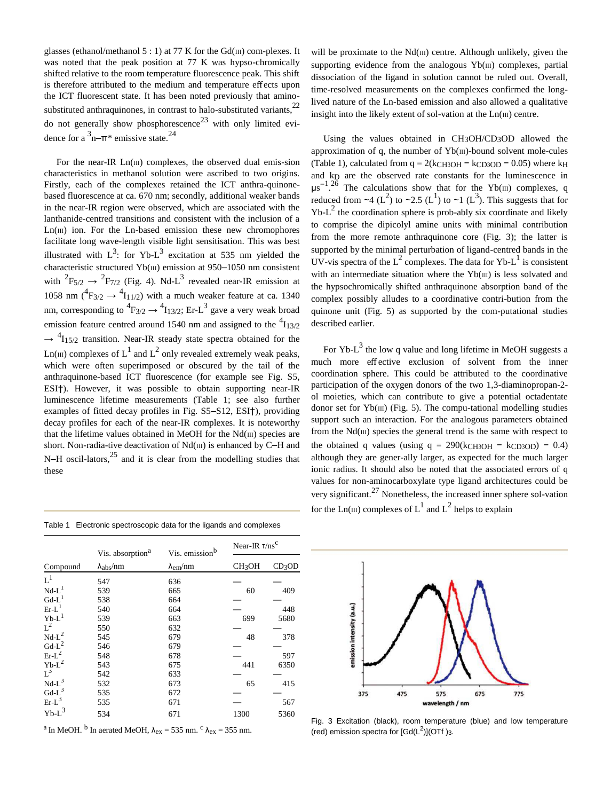glasses (ethanol/methanol 5 : 1) at 77 K for the  $Gd(m)$  com-plexes. It was noted that the peak position at 77 K was hypso-chromically shifted relative to the room temperature fluorescence peak. This shift is therefore attributed to the medium and temperature effects upon the ICT fluorescent state. It has been noted previously that aminosubstituted anthraquinones, in contrast to halo-substituted variants,<sup>22</sup> do not generally show phosphorescence<sup>23</sup> with only limited evidence for a  $\mathrm{3n{-}}\pi$ \* emissive state.<sup>24</sup>

For the near-IR  $Ln(III)$  complexes, the observed dual emis-sion characteristics in methanol solution were ascribed to two origins. Firstly, each of the complexes retained the ICT anthra-quinonebased fluorescence at ca. 670 nm; secondly, additional weaker bands in the near-IR region were observed, which are associated with the lanthanide-centred transitions and consistent with the inclusion of a  $Ln(III)$  ion. For the  $Ln$ -based emission these new chromophores facilitate long wave-length visible light sensitisation. This was best illustrated with  $L^3$ : for Yb- $L^3$  excitation at 535 nm yielded the characteristic structured Yb(III) emission at 950–1050 nm consistent with  ${}^{2}F_{5/2} \rightarrow {}^{2}F_{7/2}$  (Fig. 4). Nd-L<sup>3</sup> revealed near-IR emission at 1058 nm  $({}^{4}F_{3/2} \rightarrow {}^{4}I_{11/2})$  with a much weaker feature at ca. 1340 nm, corresponding to  ${}^{4}F_{3/2} \rightarrow {}^{4}I_{13/2}$ ; Er-L<sup>3</sup> gave a very weak broad emission feature centred around 1540 nm and assigned to the  $\frac{4}{13/2}$  $\rightarrow$  <sup>4</sup>I<sub>15/2</sub> transition. Near-IR steady state spectra obtained for the Ln( $\text{m}$ ) complexes of L<sup>1</sup> and L<sup>2</sup> only revealed extremely weak peaks, which were often superimposed or obscured by the tail of the anthraquinone-based ICT fluorescence (for example see Fig. S5, ESI†). However, it was possible to obtain supporting near-IR luminescence lifetime measurements (Table 1; see also further examples of fitted decay profiles in Fig. S5–S12, ESI†), providing decay profiles for each of the near-IR complexes. It is noteworthy that the lifetime values obtained in MeOH for the  $Nd(m)$  species are short. Non-radia-tive deactivation of  $Nd(m)$  is enhanced by C–H and N–H oscil-lators, $25$  and it is clear from the modelling studies that these

Table 1 Electronic spectroscopic data for the ligands and complexes

| Compound            | Vis. absorption <sup>a</sup><br>$\lambda_{\rm abs}/\rm nm$ | Vis. emission <sup>b</sup><br>$\lambda_{\rm em}/\rm nm$ | Near-IR $T/ns^C$        |                    |
|---------------------|------------------------------------------------------------|---------------------------------------------------------|-------------------------|--------------------|
|                     |                                                            |                                                         | <b>CH<sub>3</sub>OH</b> | CD <sub>3</sub> OD |
| $L^1$               | 547                                                        | 636                                                     |                         |                    |
| $Nd-L1$             | 539                                                        | 665                                                     | 60                      | 409                |
| $Gd-L$              | 538                                                        | 664                                                     |                         |                    |
| $Er-L$              | 540                                                        | 664                                                     |                         | 448                |
| $Yb-L$ <sup>1</sup> | 539                                                        | 663                                                     | 699                     | 5680               |
| $L^2$               | 550                                                        | 632                                                     |                         |                    |
| $Nd-L^2$            | 545                                                        | 679                                                     | 48                      | 378                |
| $Gd-L^2$            | 546                                                        | 679                                                     |                         |                    |
| $Er-L^2$            | 548                                                        | 678                                                     |                         | 597                |
| $Yb-L^2$            | 543                                                        | 675                                                     | 441                     | 6350               |
| $L^3$               | 542                                                        | 633                                                     |                         |                    |
| $Nd-L^3$            | 532                                                        | 673                                                     | 65                      | 415                |
| $Gd-L^3$            | 535                                                        | 672                                                     |                         |                    |
| $Er-L^3$            | 535                                                        | 671                                                     |                         | 567                |
| $Yb-L^3$            | 534                                                        | 671                                                     | 1300                    | 5360               |

<sup>a</sup> In MeOH. <sup>b</sup> In aerated MeOH,  $\lambda_{ex} = 535$  nm. <sup>c</sup>  $\lambda_{ex} = 355$  nm.

will be proximate to the  $Nd(m)$  centre. Although unlikely, given the supporting evidence from the analogous  $Yb$ ( $\text{III}$ ) complexes, partial dissociation of the ligand in solution cannot be ruled out. Overall, time-resolved measurements on the complexes confirmed the longlived nature of the Ln-based emission and also allowed a qualitative insight into the likely extent of sol-vation at the  $Ln(III)$  centre.

Using the values obtained in CH3OH/CD3OD allowed the approximation of q, the number of  $Yb(m)$ -bound solvent mole-cules (Table 1), calculated from  $q = 2(kCH3OH - kCD3OD - 0.05)$  where k<sub>H</sub> and kD are the observed rate constants for the luminescence in  $\mu$ s<sup>-1</sup>.<sup>26</sup> The calculations show that for the Yb(III) complexes, q reduced from ~4 (L<sup>2</sup>) to ~2.5 (L<sup>1</sup>) to ~1 (L<sup>3</sup>). This suggests that for  $Yb-L<sup>2</sup>$  the coordination sphere is prob-ably six coordinate and likely to comprise the dipicolyl amine units with minimal contribution from the more remote anthraquinone core (Fig. 3); the latter is supported by the minimal perturbation of ligand-centred bands in the UV-vis spectra of the  $L^2$  complexes. The data for Yb- $L^1$  is consistent with an intermediate situation where the  $Yb(m)$  is less solvated and the hypsochromically shifted anthraquinone absorption band of the complex possibly alludes to a coordinative contri-bution from the quinone unit (Fig. 5) as supported by the com-putational studies described earlier.

For Yb- $L^3$  the low q value and long lifetime in MeOH suggests a much more effective exclusion of solvent from the inner coordination sphere. This could be attributed to the coordinative participation of the oxygen donors of the two 1,3-diaminopropan-2 ol moieties, which can contribute to give a potential octadentate donor set for  $Yb(m)$  (Fig. 5). The compu-tational modelling studies support such an interaction. For the analogous parameters obtained from the  $Nd(m)$  species the general trend is the same with respect to the obtained q values (using  $q = 290(kCH_3OH - KCD_3OD) - 0.4$ ) although they are gener-ally larger, as expected for the much larger ionic radius. It should also be noted that the associated errors of q values for non-aminocarboxylate type ligand architectures could be very significant.<sup>27</sup> Nonetheless, the increased inner sphere sol-vation for the Ln(III) complexes of L<sup>1</sup> and L<sup>2</sup> helps to explain



Fig. 3 Excitation (black), room temperature (blue) and low temperature (red) emission spectra for  $[Gd(L<sup>2</sup>)](OTf)$ <sub>3</sub>.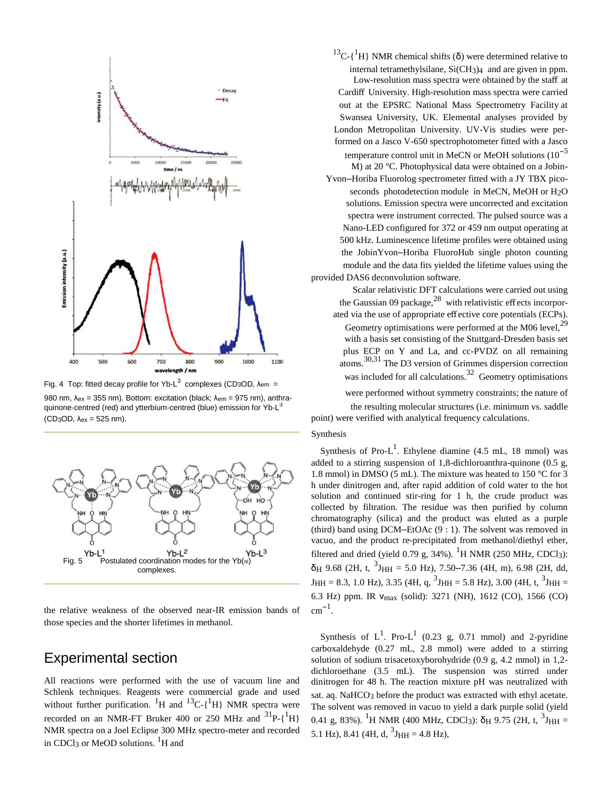

Fig. 4 Top: fitted decay profile for Yb-L<sup>3</sup> complexes (CD<sub>3</sub>OD,  $\lambda_{em}$  =

quinone-centred (red) and ytterbium-centred (blue) emission for Yb-L<sup>3</sup> the resulting molecular structures (i.e. minimum vs. saddle (CD<sub>3</sub>OD,  $\lambda_{ex}$  = 525 nm). point) were verified with analytical frequency calculations.



the relative weakness of the observed near-IR emission bands of those species and the shorter lifetimes in methanol.

## Experimental section

All reactions were performed with the use of vacuum line and Schlenk techniques. Reagents were commercial grade and used without further purification. <sup>1</sup>H and <sup>13</sup>C-{<sup>1</sup>H} NMR spectra were recorded on an NMR-FT Bruker 400 or 250 MHz and  ${}^{31}P\text{-}{}_{1}{}^{1}H$ NMR spectra on a Joel Eclipse 300 MHz spectro-meter and recorded in CDCl<sub>3</sub> or MeOD solutions.  $^{1}$ H and

<sup>13</sup>C-{<sup>1</sup>H} NMR chemical shifts ( $\delta$ ) were determined relative to internal tetramethylsilane, Si(CH3)4 and are given in ppm. Low-resolution mass spectra were obtained by the staff at Cardiff University. High-resolution mass spectra were carried out at the EPSRC National Mass Spectrometry Facility at Swansea University, UK. Elemental analyses provided by London Metropolitan University. UV-Vis studies were performed on a Jasco V-650 spectrophotometer fitted with a Jasco temperature control unit in MeCN or MeOH solutions  $(10^{-5}$ M) at 20 °C. Photophysical data were obtained on a Jobin-Yvon–Horiba Fluorolog spectrometer fitted with a JY TBX picoseconds photodetection module in MeCN, MeOH or H2O solutions. Emission spectra were uncorrected and excitation spectra were instrument corrected. The pulsed source was a Nano-LED configured for 372 or 459 nm output operating at 500 kHz. Luminescence lifetime profiles were obtained using the JobinYvon–Horiba FluoroHub single photon counting module and the data fits yielded the lifetime values using the provided DAS6 deconvolution software.

Scalar relativistic DFT calculations were carried out using the Gaussian 09 package, $^{28}$  with relativistic effects incorporated via the use of appropriate effective core potentials (ECPs). Geometry optimisations were performed at the M06 level.<sup>29</sup> with a basis set consisting of the Stuttgard-Dresden basis set plus ECP on Y and La, and cc-PVDZ on all remaining atoms.30,31 The D3 version of Grimmes dispersion correction was included for all calculations.<sup>32</sup> Geometry optimisations

980 nm,  $\lambda_{\text{ex}}$  = 355 nm). Bottom: excitation (black:  $\lambda_{\text{em}}$  = 975 nm), anthra-<br>980 nm,  $\lambda_{\text{ex}}$  = 355 nm). Bottom: excitation (black:  $\lambda_{\text{em}}$  = 975 nm), anthra-

#### Synthesis

Synthesis of Pro- $L^1$ . Ethylene diamine (4.5 mL, 18 mmol) was added to a stirring suspension of 1,8-dichloroanthra-quinone (0.5 g, 1.8 mmol) in DMSO (5 mL). The mixture was heated to 150 °C for 3 h under dinitrogen and, after rapid addition of cold water to the hot solution and continued stir-ring for 1 h, the crude product was collected by filtration. The residue was then purified by column chromatography (silica) and the product was eluted as a purple (third) band using DCM–EtOAc (9 : 1). The solvent was removed in vacuo, and the product re-precipitated from methanol/diethyl ether, filtered and dried (yield 0.79 g,  $34\%$ ). <sup>1</sup>H NMR (250 MHz, CDCl<sub>3</sub>):  $\delta$ <sub>H</sub> 9.68 (2H, t, <sup>3</sup>J<sub>HH</sub> = 5.0 Hz), 7.50–7.36 (4H, m), 6.98 (2H, dd,  $J_{HH}$  = 8.3, 1.0 Hz), 3.35 (4H, q,  $^{3}J_{HH}$  = 5.8 Hz), 3.00 (4H, t,  $^{3}J_{HH}$  = 6.3 Hz) ppm. IR Ȟmax (solid): 3271 (NH), 1612 (CO), 1566 (CO)  $cm^{-1}$ .

Synthesis of  $L^1$ . Pro- $L^1$  (0.23 g, 0.71 mmol) and 2-pyridine carboxaldehyde (0.27 mL, 2.8 mmol) were added to a stirring solution of sodium trisacetoxyborohydride (0.9 g, 4.2 mmol) in 1,2 dichloroethane (3.5 mL). The suspension was stirred under dinitrogen for 48 h. The reaction mixture pH was neutralized with sat. aq. NaHCO<sub>3</sub> before the product was extracted with ethyl acetate. The solvent was removed in vacuo to yield a dark purple solid (yield 0.41 g, 83%). <sup>1</sup>H NMR (400 MHz, CDCl<sub>3</sub>): δ<sub>H</sub> 9.75 (2H, t, <sup>3</sup>J<sub>HH</sub> = 5.1 Hz), 8.41 (4H, d,  $3J_{HH} = 4.8$  Hz),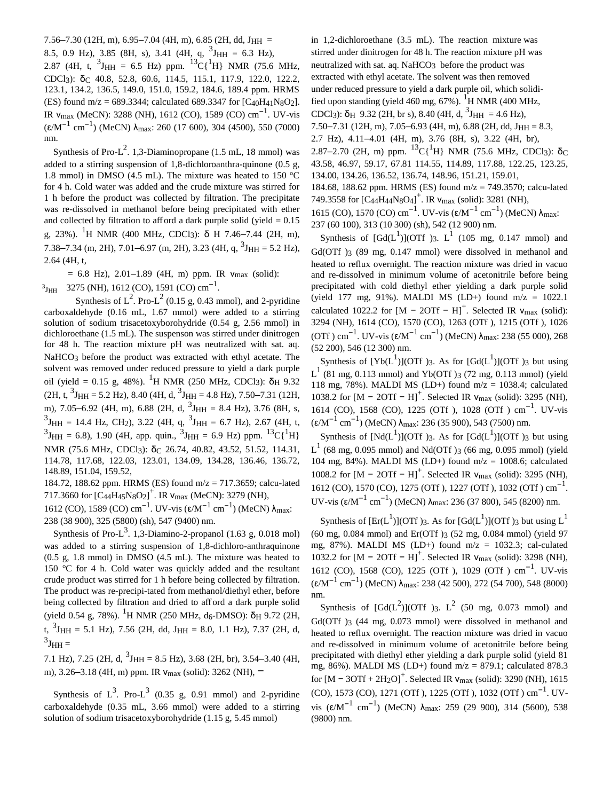7.56–7.30 (12H, m), 6.95–7.04 (4H, m), 6.85 (2H, dd, J<sub>HH</sub> =

8.5, 0.9 Hz), 3.85 (8H, s), 3.41 (4H, q,  $^{3}$ J<sub>HH</sub> = 6.3 Hz),

2.87 (4H, t,  ${}^{3}$ J<sub>HH</sub> = 6.5 Hz) ppm.  ${}^{13}C({}^{1}H)$  NMR (75.6 MHz, CDCl<sub>3</sub>):  $\bar{0}$ C 40.8, 52.8, 60.6, 114.5, 115.1, 117.9, 122.0, 122.2, 123.1, 134.2, 136.5, 149.0, 151.0, 159.2, 184.6, 189.4 ppm. HRMS (ES) found  $m/z = 689.3344$ ; calculated 689.3347 for  $[C_{40}H_{41}N_8O_2]$ . IR  $v_{\text{max}}$  (MeCN): 3288 (NH), 1612 (CO), 1589 (CO) cm<sup>-1</sup>. UV-vis  $(\epsilon/M^{-1} \text{ cm}^{-1})$  (MeCN)  $\lambda_{\text{max}}$ : 260 (17 600), 304 (4500), 550 (7000) nm.

Synthesis of Pro- $L^2$ . 1,3-Diaminopropane (1.5 mL, 18 mmol) was added to a stirring suspension of 1,8-dichloroanthra-quinone (0.5 g, 1.8 mmol) in DMSO (4.5 mL). The mixture was heated to 150 °C for 4 h. Cold water was added and the crude mixture was stirred for 1 h before the product was collected by filtration. The precipitate was re-dissolved in methanol before being precipitated with ether and collected by filtration to afford a dark purple solid (yield  $= 0.15$ ) g, 23%). <sup>1</sup>H NMR (400 MHz, CDCl<sub>3</sub>):  $\delta$  H 7.46–7.44 (2H, m), 7.38–7.34 (m, 2H), 7.01–6.97 (m, 2H), 3.23 (4H, q,  ${}^{3}$ J<sub>HH</sub> = 5.2 Hz), 2.64 (4H, t,

 $= 6.8$  Hz), 2.01–1.89 (4H, m) ppm. IR  $v_{\text{max}}$  (solid): 3275 (NH), 1612 (CO), 1591 (CO) cm<sup>-1</sup>.  $\rm{^{3}J_{HH}}$ 

Synthesis of  $L^2$ . Pro- $L^2$  (0.15 g, 0.43 mmol), and 2-pyridine carboxaldehyde (0.16 mL, 1.67 mmol) were added to a stirring solution of sodium trisacetoxyborohydride (0.54 g, 2.56 mmol) in dichloroethane (1.5 mL). The suspenson was stirred under dinitrogen for 48 h. The reaction mixture pH was neutralized with sat. aq. NaHCO<sub>3</sub> before the product was extracted with ethyl acetate. The solvent was removed under reduced pressure to yield a dark purple oil (yield = 0.15 g, 48%). <sup>1</sup>H NMR (250 MHz, CDCl3):  $\delta$ <sub>H</sub> 9.32  $(2H, t, {}^{3}J_{HH} = 5.2 \text{ Hz})$ , 8.40 (4H, d,  ${}^{3}J_{HH} = 4.8 \text{ Hz}$ ), 7.50–7.31 (12H, m), 7.05–6.92 (4H, m), 6.88 (2H, d,  $^{3}$ J<sub>HH</sub> = 8.4 Hz), 3.76 (8H, s,  ${}^{3}$ J<sub>HH</sub> = 14.4 Hz, CH<sub>2</sub>), 3.22 (4H, q,  ${}^{3}$ J<sub>HH</sub> = 6.7 Hz), 2.67 (4H, t,  ${}^{3}$ J<sub>HH</sub> = 6.8), 1.90 (4H, app. quin.,  ${}^{3}$ J<sub>HH</sub> = 6.9 Hz) ppm.  ${}^{13}C({}^{1}H)$ NMR (75.6 MHz, CDCl3): δ<sub>C</sub> 26.74, 40.82, 43.52, 51.52, 114.31, 114.78, 117.68, 122.03, 123.01, 134.09, 134.28, 136.46, 136.72, 148.89, 151.04, 159.52,

184.72, 188.62 ppm. HRMS (ES) found m/z = 717.3659; calcu-lated 717.3660 for  $\overline{C_44H_45N_8O_2}^+$ . IR  $v_{max}$  (MeCN): 3279 (NH),

1612 (CO), 1589 (CO) cm<sup>-1</sup>. UV-vis (ε/M<sup>-1</sup> cm<sup>-1</sup>) (MeCN) λ<sub>max</sub>: 238 (38 900), 325 (5800) (sh), 547 (9400) nm.

Synthesis of Pro- $L^3$ . 1,3-Diamino-2-propanol (1.63 g, 0.018 mol) was added to a stirring suspension of 1,8-dichloro-anthraquinone (0.5 g, 1.8 mmol) in DMSO (4.5 mL). The mixture was heated to 150 °C for 4 h. Cold water was quickly added and the resultant crude product was stirred for 1 h before being collected by filtration. The product was re-precipi-tated from methanol/diethyl ether, before being collected by filtration and dried to afford a dark purple solid (yield 0.54 g, 78%). <sup>1</sup>H NMR (250 MHz, d<sub>6</sub>-DMSO):  $\delta$ <sub>H</sub> 9.72 (2H, t,  ${}^{3}$ J<sub>HH</sub> = 5.1 Hz), 7.56 (2H, dd, J<sub>HH</sub> = 8.0, 1.1 Hz), 7.37 (2H, d,  $3J_{HH} =$ 

7.1 Hz), 7.25 (2H, d,  ${}^{3}J_{HH} = 8.5$  Hz), 3.68 (2H, br), 3.54–3.40 (4H, m), 3.26–3.18 (4H, m) ppm. IR  $V_{\text{max}}$  (solid): 3262 (NH),  $\blacksquare$ 

Synthesis of  $L^3$ . Pro- $L^3$  (0.35 g, 0.91 mmol) and 2-pyridine carboxaldehyde (0.35 mL, 3.66 mmol) were added to a stirring solution of sodium trisacetoxyborohydride (1.15 g, 5.45 mmol)

in 1,2-dichloroethane (3.5 mL). The reaction mixture was stirred under dinitrogen for 48 h. The reaction mixture pH was neutralized with sat. aq. NaHCO<sub>3</sub> before the product was extracted with ethyl acetate. The solvent was then removed under reduced pressure to yield a dark purple oil, which solidified upon standing (yield  $460$  mg,  $67\%$ ). <sup>1</sup>H NMR (400 MHz, CDCl<sub>3</sub>):  $\delta$ <sub>H</sub> 9.32 (2H, br s), 8.40 (4H, d, <sup>3</sup>J<sub>HH</sub> = 4.6 Hz), 7.50–7.31 (12H, m), 7.05–6.93 (4H, m), 6.88 (2H, dd,  $J_{HH} = 8.3$ , 2.7 Hz), 4.11–4.01 (4H, m), 3.76 (8H, s), 3.22 (4H, br), 2.87–2.70 (2H, m) ppm.  ${}^{13}C(^{1}H)$  NMR (75.6 MHz, CDCl3):  $\delta_C$ 43.58, 46.97, 59.17, 67.81 114.55, 114.89, 117.88, 122.25, 123.25, 134.00, 134.26, 136.52, 136.74, 148.96, 151.21, 159.01, 184.68, 188.62 ppm. HRMS (ES) found m/z = 749.3570; calcu-lated 749.3558 for [C44H44N<sub>8</sub>O4]<sup>+</sup>. IR  $v_{max}$  (solid): 3281 (NH), 1615 (CO), 1570 (CO) cm<sup>-1</sup>. UV-vis (ε/M<sup>-1</sup> cm<sup>-1</sup>) (MeCN) λ<sub>max</sub>: 237 (60 100), 313 (10 300) (sh), 542 (12 900) nm.

Synthesis of  $[Gd(L^1)](OTT)$ ;  $L^1$  (105 mg, 0.147 mmol) and Gd(OTf) $3(89 \text{ mg}, 0.147 \text{ mmol})$  were dissolved in methanol and heated to reflux overnight. The reaction mixture was dried in vacuo and re-dissolved in minimum volume of acetonitrile before being precipitated with cold diethyl ether yielding a dark purple solid (yield 177 mg, 91%). MALDI MS (LD+) found m/z = 1022.1 calculated 1022.2 for  $[M - 20Tf - H]^+$ . Selected IR  $v_{max}$  (solid): 3294 (NH), 1614 (CO), 1570 (CO), 1263 (OTf ), 1215 (OTf ), 1026 (OTf) cm<sup>-1</sup>. UV-vis (ε/M<sup>-1</sup> cm<sup>-1</sup>) (MeCN)  $\lambda_{\text{max}}$ : 238 (55 000), 268 (52 200), 546 (12 300) nm.

Synthesis of  $[Yb(L^1)](OTf)$  3. As for  $[Gd(L^1)](OTf)$  3 but using  $L^1$  (81 mg, 0.113 mmol) and Yb(OTf )3 (72 mg, 0.113 mmol) (yield 118 mg, 78%). MALDI MS (LD+) found m/z = 1038.4; calculated 1038.2 for  $[M - 2OTf - H]$ <sup>+</sup>. Selected IR  $v_{max}$  (solid): 3295 (NH), 1614 (CO), 1568 (CO), 1225 (OTf ), 1028 (OTf ) cm<sup>-1</sup>. UV-vis  $(\epsilon/M^{-1} \text{ cm}^{-1})$  (MeCN)  $\lambda_{\text{max}}$ : 236 (35 900), 543 (7500) nm.

Synthesis of  $[Nd(L^1)](OTf)$ 3. As for  $[Gd(L^1)](OTf)$ 3 but using  $L^1$  (68 mg, 0.095 mmol) and Nd(OTf)3 (66 mg, 0.095 mmol) (yield 104 mg, 84%). MALDI MS (LD+) found  $m/z = 1008.6$ ; calculated 1008.2 for  $[M - 2OTf - H]$ <sup>+</sup>. Selected IR  $v_{max}$  (solid): 3295 (NH), 1612 (CO), 1570 (CO), 1275 (OTf), 1227 (OTf), 1032 (OTf) cm<sup>-1</sup>. UV-vis (ε/M<sup>-1</sup> cm<sup>-1</sup>) (MeCN) λ<sub>max</sub>: 236 (37 800), 545 (8200) nm.

Synthesis of  $[\text{Er}(L^1)](OTT)$ 3. As for  $[\text{Gd}(L^1)](OTT)$ 3 but using  $L^1$  $(60 \text{ mg}, 0.084 \text{ mmol})$  and  $Er(OTf)$ <sub>3</sub>  $(52 \text{ mg}, 0.084 \text{ mmol})$  (yield 97) mg, 87%). MALDI MS (LD+) found m/z = 1032.3; cal-culated 1032.2 for [M − 2OTf − H]<sup>+</sup>. Selected IR  $v_{\text{max}}$  (solid): 3298 (NH), 1612 (CO), 1568 (CO), 1225 (OTf ), 1029 (OTf ) cm<sup>-1</sup>. UV-vis  $(\epsilon/M^{-1} \text{ cm}^{-1})$  (MeCN)  $\lambda_{\text{max}}$ : 238 (42 500), 272 (54 700), 548 (8000) nm.

Synthesis of  $[Gd(L<sup>2</sup>)](OTT )$ <sub>3</sub>.  $L<sup>2</sup>$  (50 mg, 0.073 mmol) and Gd(OTf)<sub>3</sub> (44 mg, 0.073 mmol) were dissolved in methanol and heated to reflux overnight. The reaction mixture was dried in vacuo and re-dissolved in minimum volume of acetonitrile before being precipitated with diethyl ether yielding a dark purple solid (yield 81 mg, 86%). MALDI MS (LD+) found m/z = 879.1; calculated 878.3 for  $[M - 3OTf + 2H_2O]^+$ . Selected IR  $v_{max}$  (solid): 3290 (NH), 1615 (CO), 1573 (CO), 1271 (OTf ), 1225 (OTf ), 1032 (OTf ) cm<sup>-1</sup>. UVvis (ε/M<sup>-1</sup> cm<sup>-1</sup>) (MeCN)  $\lambda_{\text{max}}$ : 259 (29 900), 314 (5600), 538 (9800) nm.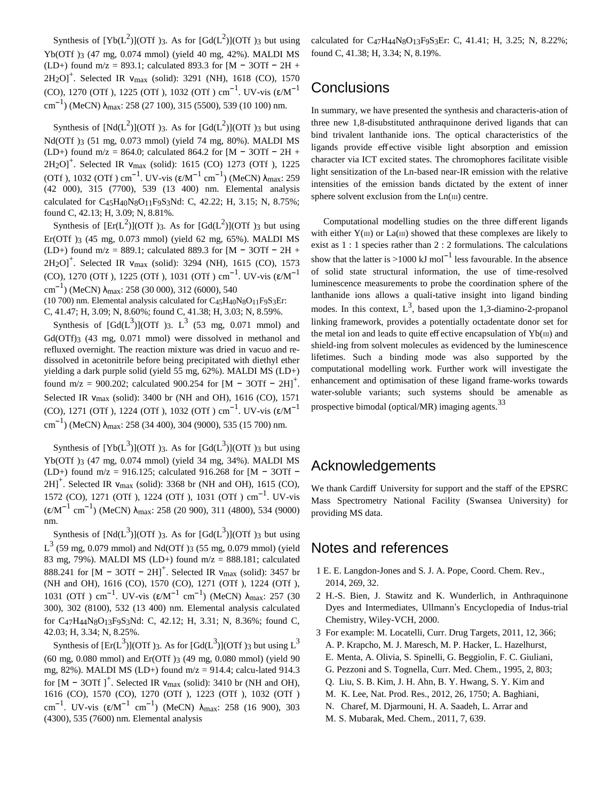Synthesis of  $[Yb(L^2)](OTf)$ 3. As for  $[Gd(L^2)](OTf)$ 3 but using Yb(OTf )3 (47 mg, 0.074 mmol) (yield 40 mg, 42%). MALDI MS (LD+) found m/z = 893.1; calculated 893.3 for [M − 3OTf − 2H + 2H<sub>2</sub>O]<sup>+</sup>. Selected IR  $v_{max}$  (solid): 3291 (NH), 1618 (CO), 1570 (CO), 1270 (OTf ), 1225 (OTf ), 1032 (OTf ) cm<sup>-1</sup>. UV-vis (ε/M<sup>-1</sup> cm<sup>-1</sup>) (MeCN)  $\lambda_{\text{max}}$ : 258 (27 100), 315 (5500), 539 (10 100) nm.

Synthesis of  $[Nd(L^2)](OTf)$ 3. As for  $[Gd(L^2)](OTf)$ 3 but using Nd(OTf )3 (51 mg, 0.073 mmol) (yield 74 mg, 80%). MALDI MS (LD+) found m/z = 864.0; calculated 864.2 for [M − 3OTf − 2H +  $2H_2OJ^+$ . Selected IR  $v_{max}$  (solid): 1615 (CO) 1273 (OTf ), 1225 (OTf ), 1032 (OTf ) cm<sup>-1</sup>. UV-vis (ε/M<sup>-1</sup> cm<sup>-1</sup>) (MeCN) λ<sub>max</sub>: 259 (42 000), 315 (7700), 539 (13 400) nm. Elemental analysis calculated for C45H40N8O11F9S3Nd: C, 42.22; H, 3.15; N, 8.75%; found C, 42.13; H, 3.09; N, 8.81%.

Synthesis of  $[{\rm Er}(L^2)](OTf)$  3. As for  $[{\rm Gd}(L^2)](OTf)$  3 but using Er(OTf )3 (45 mg, 0.073 mmol) (yield 62 mg, 65%). MALDI MS (LD+) found m/z = 889.1; calculated 889.3 for [M − 3OTf − 2H +  $2H_2O$ <sup>+</sup>. Selected IR  $v_{max}$  (solid): 3294 (NH), 1615 (CO), 1573 (CO), 1270 (OTf ), 1225 (OTf ), 1031 (OTf ) cm<sup>-1</sup>. UV-vis (ε/M<sup>-1</sup>  $\text{cm}^{-1}$ ) (MeCN) λ<sub>max</sub>: 258 (30 000), 312 (6000), 540 (10 700) nm. Elemental analysis calculated for C45H40N8O11F9S3Er:

C, 41.47; H, 3.09; N, 8.60%; found C, 41.38; H, 3.03; N, 8.59%.

Synthesis of  $[Gd(L^3)](OTT)$  3.  $L^3$  (53 mg, 0.071 mmol) and Gd(OTf)3 (43 mg, 0.071 mmol) were dissolved in methanol and refluxed overnight. The reaction mixture was dried in vacuo and redissolved in acetonitrile before being precipitated with diethyl ether yielding a dark purple solid (yield 55 mg, 62%). MALDI MS (LD+) found m/z = 900.202; calculated 900.254 for [M − 3OTf − 2H]<sup>+</sup>. Selected IR  $V_{\text{max}}$  (solid): 3400 br (NH and OH), 1616 (CO), 1571  $(CO)$ , 1271 (OTf ), 1224 (OTf ), 1032 (OTf ) cm<sup>-1</sup>. UV-vis ( $\epsilon/M^{-1}$ cm<sup>-1</sup>) (MeCN)  $\lambda_{\text{max}}$ : 258 (34 400), 304 (9000), 535 (15 700) nm.

Synthesis of  $[Yb(L^3)](OTf)$ 3. As for  $[Gd(L^3)](OTf)$ 3 but using Yb(OTf )3 (47 mg, 0.074 mmol) (yield 34 mg, 34%). MALDI MS (LD+) found m/z = 916.125; calculated 916.268 for  $[M - 3Off - ]$  $2H$ <sup>+</sup>. Selected IR  $v_{max}$  (solid): 3368 br (NH and OH), 1615 (CO), 1572 (CO), 1271 (OTf ), 1224 (OTf ), 1031 (OTf ) cm<sup>-1</sup>. UV-vis  $(\epsilon/M^{-1} \text{ cm}^{-1})$  (MeCN)  $\lambda_{\text{max}}$ : 258 (20 900), 311 (4800), 534 (9000) nm.

Synthesis of  $[Nd(L^3)](OTf)$ 3. As for  $[Gd(L^3)](OTf)$ 3 but using  $L^3$  (59 mg, 0.079 mmol) and Nd(OTf)3 (55 mg, 0.079 mmol) (yield 83 mg, 79%). MALDI MS (LD+) found m/z = 888.181; calculated 888.241 for  $[M - 3Off - 2H]^+$ . Selected IR  $v_{max}$  (solid): 3457 br (NH and OH), 1616 (CO), 1570 (CO), 1271 (OTf ), 1224 (OTf ), 1031 (OTf ) cm<sup>-1</sup>. UV-vis (ε/M<sup>-1</sup> cm<sup>-1</sup>) (MeCN)  $\lambda_{\text{max}}$ : 257 (30 300), 302 (8100), 532 (13 400) nm. Elemental analysis calculated for C47H44N8O13F9S3Nd: C, 42.12; H, 3.31; N, 8.36%; found C, 42.03; H, 3.34; N, 8.25%.

Synthesis of  $[\text{Er}(L^3)](OTT)$  3. As for  $[\text{Gd}(L^3)](OTT)$  but using  $L^3$ (60 mg, 0.080 mmol) and Er(OTf )3 (49 mg, 0.080 mmol) (yield 90 mg, 82%). MALDI MS (LD+) found m/z = 914.4; calcu-lated 914.3 for  $[M - 3OTF]$ <sup>+</sup>. Selected IR  $v_{max}$  (solid): 3410 br (NH and OH), 1616 (CO), 1570 (CO), 1270 (OTf ), 1223 (OTf ), 1032 (OTf ) cm<sup>-1</sup>. UV-vis ( $\epsilon/M^{-1}$  cm<sup>-1</sup>) (MeCN)  $\lambda_{\text{max}}$ : 258 (16 900), 303 (4300), 535 (7600) nm. Elemental analysis

calculated for C47H44N8O13F9S3Er: C, 41.41; H, 3.25; N, 8.22%; found C, 41.38; H, 3.34; N, 8.19%.

## **Conclusions**

In summary, we have presented the synthesis and characteris-ation of three new 1,8-disubstituted anthraquinone derived ligands that can bind trivalent lanthanide ions. The optical characteristics of the ligands provide effective visible light absorption and emission character via ICT excited states. The chromophores facilitate visible light sensitization of the Ln-based near-IR emission with the relative intensities of the emission bands dictated by the extent of inner sphere solvent exclusion from the  $Ln(III)$  centre.

Computational modelling studies on the three different ligands with either  $Y(m)$  or  $La(m)$  showed that these complexes are likely to exist as 1 : 1 species rather than 2 : 2 formulations. The calculations show that the latter is >1000 kJ mol<sup>-1</sup> less favourable. In the absence of solid state structural information, the use of time-resolved luminescence measurements to probe the coordination sphere of the lanthanide ions allows a quali-tative insight into ligand binding modes. In this context,  $L^3$ , based upon the 1,3-diamino-2-propanol linking framework, provides a potentially octadentate donor set for the metal ion and leads to quite effective encapsulation of  $Yb(m)$  and shield-ing from solvent molecules as evidenced by the luminescence lifetimes. Such a binding mode was also supported by the computational modelling work. Further work will investigate the enhancement and optimisation of these ligand frame-works towards water-soluble variants; such systems should be amenable as prospective bimodal (optical/MR) imaging agents.<sup>33</sup>

#### Acknowledgements

We thank Cardiff University for support and the staff of the EPSRC Mass Spectrometry National Facility (Swansea University) for providing MS data.

#### Notes and references

- 1 E. E. Langdon-Jones and S. J. A. Pope, Coord. Chem. Rev., 2014, 269, 32.
- 2 H.-S. Bien, J. Stawitz and K. Wunderlich, in Anthraquinone Dyes and Intermediates, Ullmann's Encyclopedia of Indus-trial Chemistry, Wiley-VCH, 2000.
- 3 For example: M. Locatelli, Curr. Drug Targets, 2011, 12, 366;
	- A. P. Krapcho, M. J. Maresch, M. P. Hacker, L. Hazelhurst,
	- E. Menta, A. Olivia, S. Spinelli, G. Beggiolin, F. C. Giuliani,
	- G. Pezzoni and S. Tognella, Curr. Med. Chem., 1995, 2, 803;
	- Q. Liu, S. B. Kim, J. H. Ahn, B. Y. Hwang, S. Y. Kim and
	- M. K. Lee, Nat. Prod. Res., 2012, 26, 1750; A. Baghiani,
	- N. Charef, M. Djarmouni, H. A. Saadeh, L. Arrar and
	- M. S. Mubarak, Med. Chem., 2011, 7, 639.